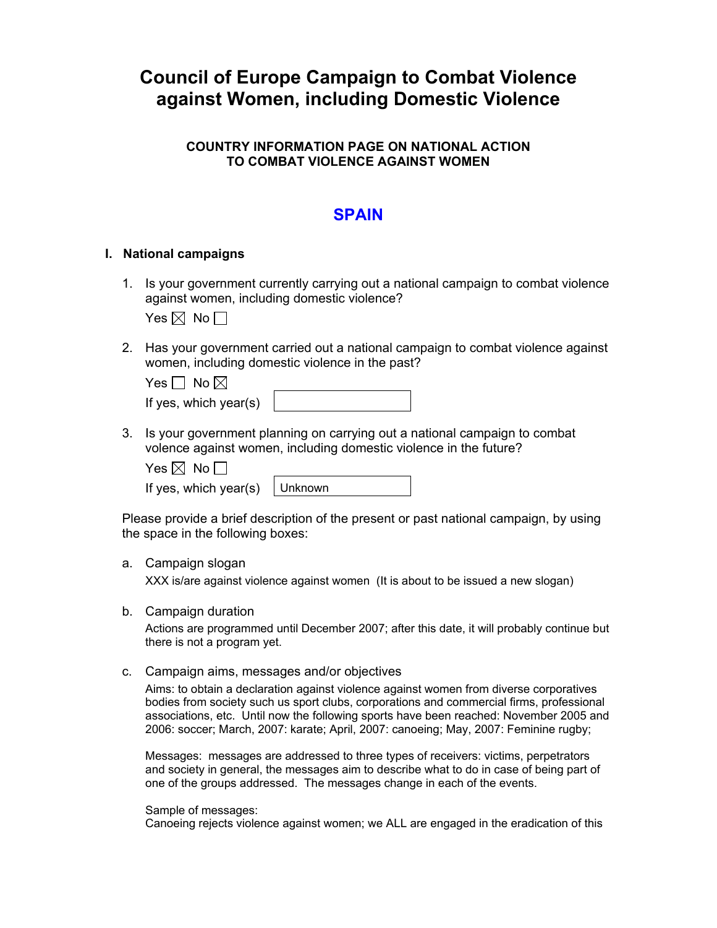# **Council of Europe Campaign to Combat Violence against Women, including Domestic Violence**

# **COUNTRY INFORMATION PAGE ON NATIONAL ACTION TO COMBAT VIOLENCE AGAINST WOMEN**

# **SPAIN**

#### **I. National campaigns**

1. Is your government currently carrying out a national campaign to combat violence against women, including domestic violence?

Yes  $\boxtimes$  No  $\Box$ 

2. Has your government carried out a national campaign to combat violence against women, including domestic violence in the past?

| Yes $\Box$ No $\boxtimes$ |  |
|---------------------------|--|
| If yes, which year(s)     |  |

3. Is your government planning on carrying out a national campaign to combat volence against women, including domestic violence in the future?

Yes  $\boxtimes$  No  $\Box$ 

If yes, which year(s)  $\vert$  Unknown

Please provide a brief description of the present or past national campaign, by using the space in the following boxes:

#### a. Campaign slogan

XXX is/are against violence against women (It is about to be issued a new slogan)

b. Campaign duration

Actions are programmed until December 2007; after this date, it will probably continue but there is not a program yet.

c. Campaign aims, messages and/or objectives

Aims: to obtain a declaration against violence against women from diverse corporatives bodies from society such us sport clubs, corporations and commercial firms, professional associations, etc. Until now the following sports have been reached: November 2005 and 2006: soccer; March, 2007: karate; April, 2007: canoeing; May, 2007: Feminine rugby;

Messages: messages are addressed to three types of receivers: victims, perpetrators and society in general, the messages aim to describe what to do in case of being part of one of the groups addressed. The messages change in each of the events.

Sample of messages:

Canoeing rejects violence against women; we ALL are engaged in the eradication of this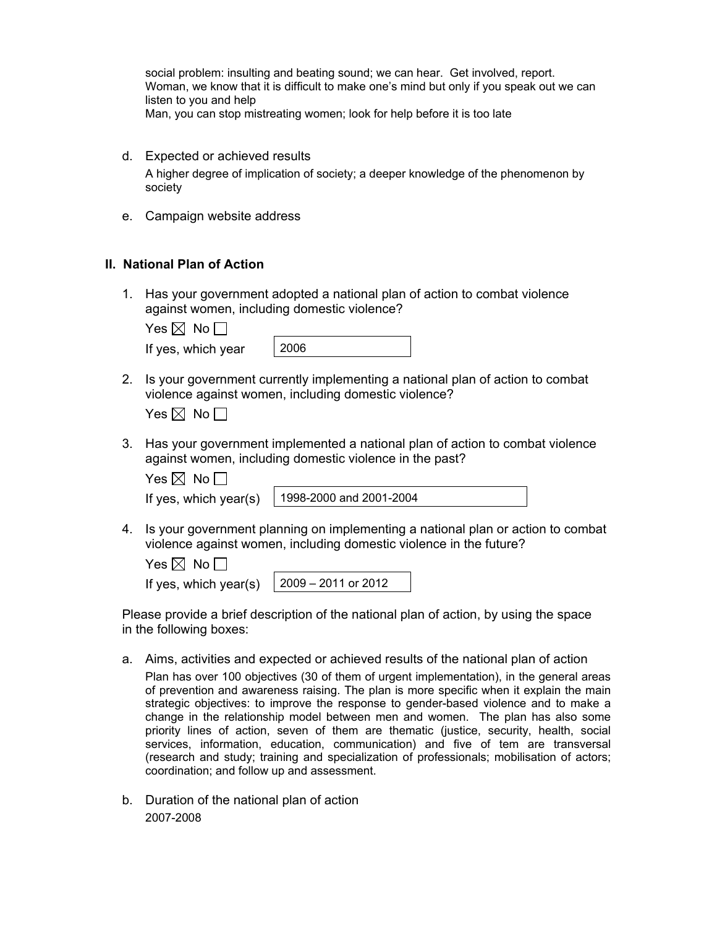social problem: insulting and beating sound; we can hear. Get involved, report. Woman, we know that it is difficult to make one's mind but only if you speak out we can listen to you and help Man, you can stop mistreating women; look for help before it is too late

- d. Expected or achieved results A higher degree of implication of society; a deeper knowledge of the phenomenon by society
- e. Campaign website address

# **II. National Plan of Action**

1. Has your government adopted a national plan of action to combat violence against women, including domestic violence?

| Yes $\boxtimes$ No $\Box$ |      |
|---------------------------|------|
| If yes, which year        | 2006 |

2. Is your government currently implementing a national plan of action to combat violence against women, including domestic violence?

| es $\boxtimes$ | No . |
|----------------|------|
|----------------|------|

3. Has your government implemented a national plan of action to combat violence against women, including domestic violence in the past?

| Yes $\boxtimes$ No $\blacksquare$ |  |  |
|-----------------------------------|--|--|
|                                   |  |  |

If yes, which year(s) 1998-2000 and 2001-2004

4. Is your government planning on implementing a national plan or action to combat violence against women, including domestic violence in the future?

| Yes $\boxtimes$ No [ |  |  |
|----------------------|--|--|
|                      |  |  |

| If yes, which year(s) $\int 2009 - 2011$ or 2012 |
|--------------------------------------------------|
|--------------------------------------------------|

Please provide a brief description of the national plan of action, by using the space in the following boxes:

a. Aims, activities and expected or achieved results of the national plan of action

Plan has over 100 objectives (30 of them of urgent implementation), in the general areas of prevention and awareness raising. The plan is more specific when it explain the main strategic objectives: to improve the response to gender-based violence and to make a change in the relationship model between men and women. The plan has also some priority lines of action, seven of them are thematic (justice, security, health, social services, information, education, communication) and five of tem are transversal (research and study; training and specialization of professionals; mobilisation of actors; coordination; and follow up and assessment.

b. Duration of the national plan of action 2007-2008